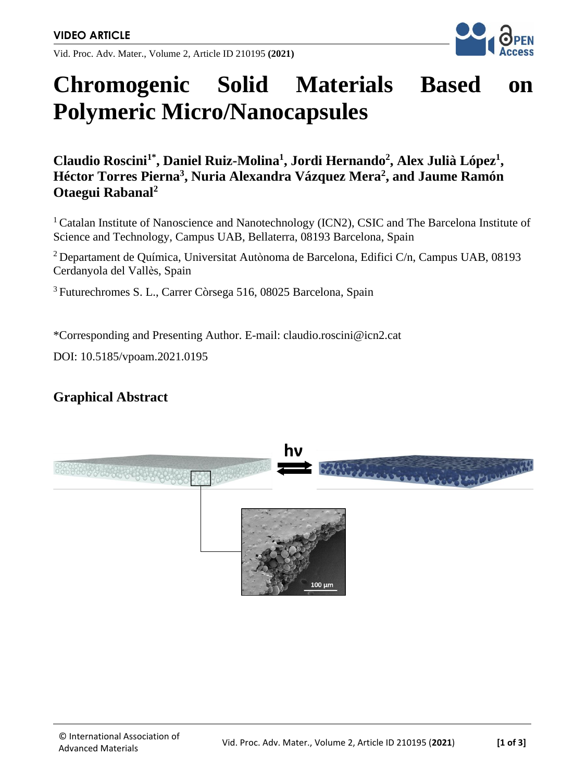Vid. Proc. Adv. Mater., Volume 2, Article ID 210195 **(2021)**



# **Chromogenic Solid Materials Based on Polymeric Micro/Nanocapsules**

**Claudio Roscini1\* , Daniel Ruiz-Molina<sup>1</sup> , Jordi Hernando<sup>2</sup> , Alex Julià López<sup>1</sup> , Héctor Torres Pierna<sup>3</sup> , Nuria Alexandra Vázquez Mera<sup>2</sup> , and Jaume Ramón Otaegui Rabanal<sup>2</sup>**

<sup>1</sup> Catalan Institute of Nanoscience and Nanotechnology (ICN2), CSIC and The Barcelona Institute of Science and Technology, Campus UAB, Bellaterra, 08193 Barcelona, Spain

<sup>2</sup> Departament de Química, Universitat Autònoma de Barcelona, Edifici C/n, Campus UAB, 08193 Cerdanyola del Vallès, Spain

<sup>3</sup>Futurechromes S. L., Carrer Còrsega 516, 08025 Barcelona, Spain

\*Corresponding and Presenting Author. E-mail: claudio.roscini@icn2.cat

DOI: 10.5185/vpoam.2021.0195

#### **Graphical Abstract**

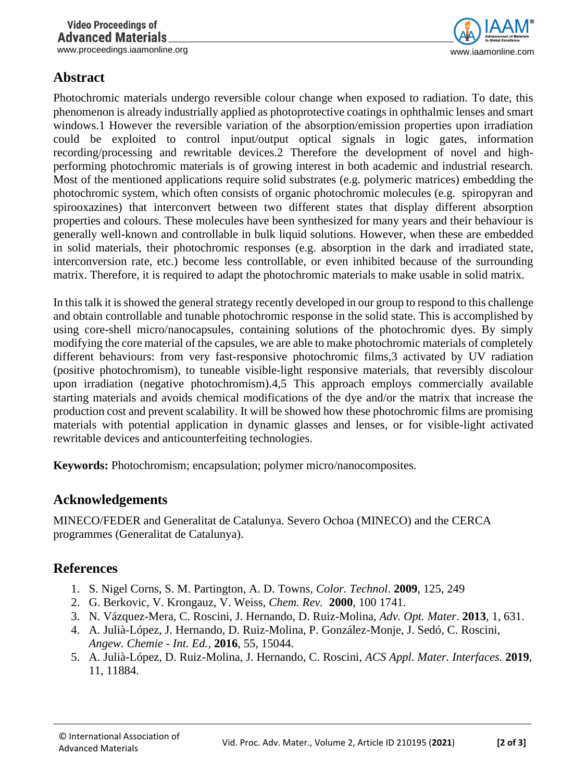www.proceedings.iaamonline.org example of the state of the state of the state of the state of the state of the state of the state of the state of the state of the state of the state of the state of the state of the state o

## **Abstract**

Photochromic materials undergo reversible colour change when exposed to radiation. To date, this phenomenon is already industrially applied as photoprotective coatings in ophthalmic lenses and smart windows.1 However the reversible variation of the absorption/emission properties upon irradiation could be exploited to control input/output optical signals in logic gates, information recording/processing and rewritable devices.2 Therefore the development of novel and highperforming photochromic materials is of growing interest in both academic and industrial research. Most of the mentioned applications require solid substrates (e.g. polymeric matrices) embedding the photochromic system, which often consists of organic photochromic molecules (e.g. spiropyran and spirooxazines) that interconvert between two different states that display different absorption properties and colours. These molecules have been synthesized for many years and their behaviour is generally well-known and controllable in bulk liquid solutions. However, when these are embedded in solid materials, their photochromic responses (e.g. absorption in the dark and irradiated state, interconversion rate, etc.) become less controllable, or even inhibited because of the surrounding matrix. Therefore, it is required to adapt the photochromic materials to make usable in solid matrix.

In this talk it is showed the general strategy recently developed in our group to respond to this challenge and obtain controllable and tunable photochromic response in the solid state. This is accomplished by using core-shell micro/nanocapsules, containing solutions of the photochromic dyes. By simply modifying the core material of the capsules, we are able to make photochromic materials of completely different behaviours: from very fast-responsive photochromic films,3 activated by UV radiation (positive photochromism), to tuneable visible-light responsive materials, that reversibly discolour upon irradiation (negative photochromism).4,5 This approach employs commercially available starting materials and avoids chemical modifications of the dye and/or the matrix that increase the production cost and prevent scalability. It will be showed how these photochromic films are promising materials with potential application in dynamic glasses and lenses, or for visible-light activated rewritable devices and anticounterfeiting technologies.

**Keywords:** Photochromism; encapsulation; polymer micro/nanocomposites.

## **Acknowledgements**

MINECO/FEDER and Generalitat de Catalunya. Severo Ochoa (MINECO) and the CERCA programmes (Generalitat de Catalunya).

## **References**

- 1. S. Nigel Corns, S. M. Partington, A. D. Towns, *Color. Technol*. **2009**, 125, 249
- 2. G. Berkovic, V. Krongauz, V. Weiss, *Chem. Rev.* **2000**, 100 1741.
- 3. N. Vázquez-Mera, C. Roscini, J. Hernando, D. Ruiz-Molina, *Adv. Opt. Mater*. **2013**, 1, 631.
- 4. A. Julià-López, J. Hernando, D. Ruiz-Molina, P. González-Monje, J. Sedó, C. Roscini, *Angew. Chemie - Int. Ed.,* **2016**, 55, 15044.
- 5. A. Julià-López, D. Ruiz-Molina, J. Hernando, C. Roscini, *ACS Appl. Mater. Interfaces.* **2019**, 11, 11884.